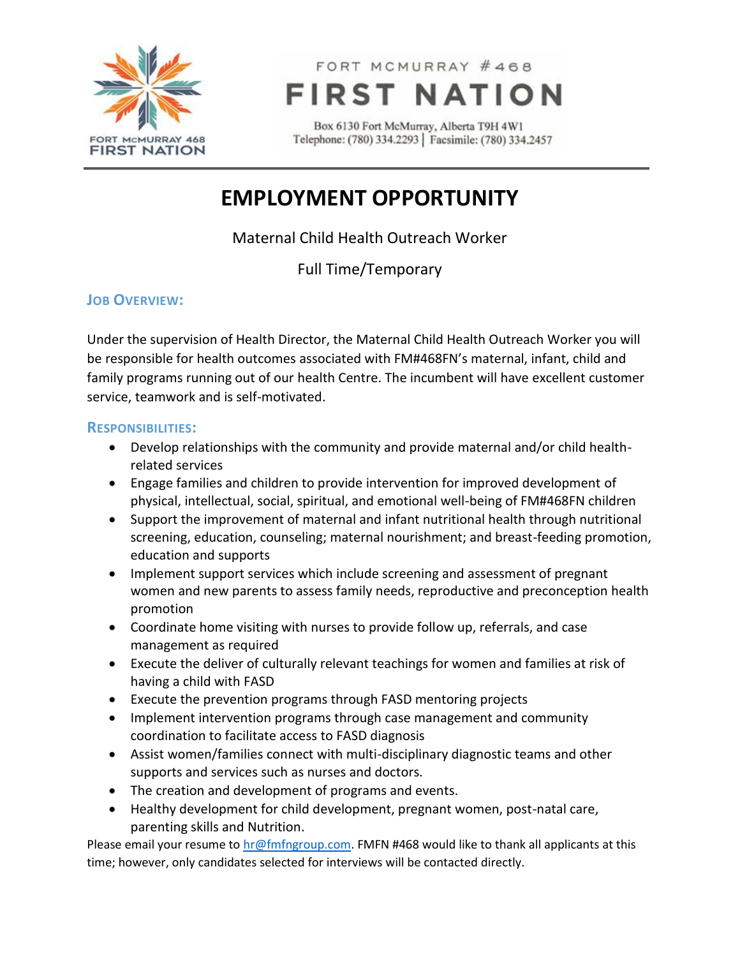

FORT MCMURRAY #468 **FIRST NATION** 

Box 6130 Fort McMurray, Alberta T9H 4W1 Telephone: (780) 334.2293 | Facsimile: (780) 334.2457

# **EMPLOYMENT OPPORTUNITY**

Maternal Child Health Outreach Worker

Full Time/Temporary

## **JOB OVERVIEW:**

Under the supervision of Health Director, the Maternal Child Health Outreach Worker you will be responsible for health outcomes associated with FM#468FN's maternal, infant, child and family programs running out of our health Centre. The incumbent will have excellent customer service, teamwork and is self-motivated.

#### **RESPONSIBILITIES:**

- Develop relationships with the community and provide maternal and/or child healthrelated services
- Engage families and children to provide intervention for improved development of physical, intellectual, social, spiritual, and emotional well-being of FM#468FN children
- Support the improvement of maternal and infant nutritional health through nutritional screening, education, counseling; maternal nourishment; and breast-feeding promotion, education and supports
- Implement support services which include screening and assessment of pregnant women and new parents to assess family needs, reproductive and preconception health promotion
- Coordinate home visiting with nurses to provide follow up, referrals, and case management as required
- Execute the deliver of culturally relevant teachings for women and families at risk of having a child with FASD
- Execute the prevention programs through FASD mentoring projects
- Implement intervention programs through case management and community coordination to facilitate access to FASD diagnosis
- Assist women/families connect with multi-disciplinary diagnostic teams and other supports and services such as nurses and doctors.
- The creation and development of programs and events.
- Healthy development for child development, pregnant women, post-natal care, parenting skills and Nutrition.

Please email your resume to [hr@fmfngroup.com.](mailto:hr@fmfngroup.com) FMFN #468 would like to thank all applicants at this time; however, only candidates selected for interviews will be contacted directly.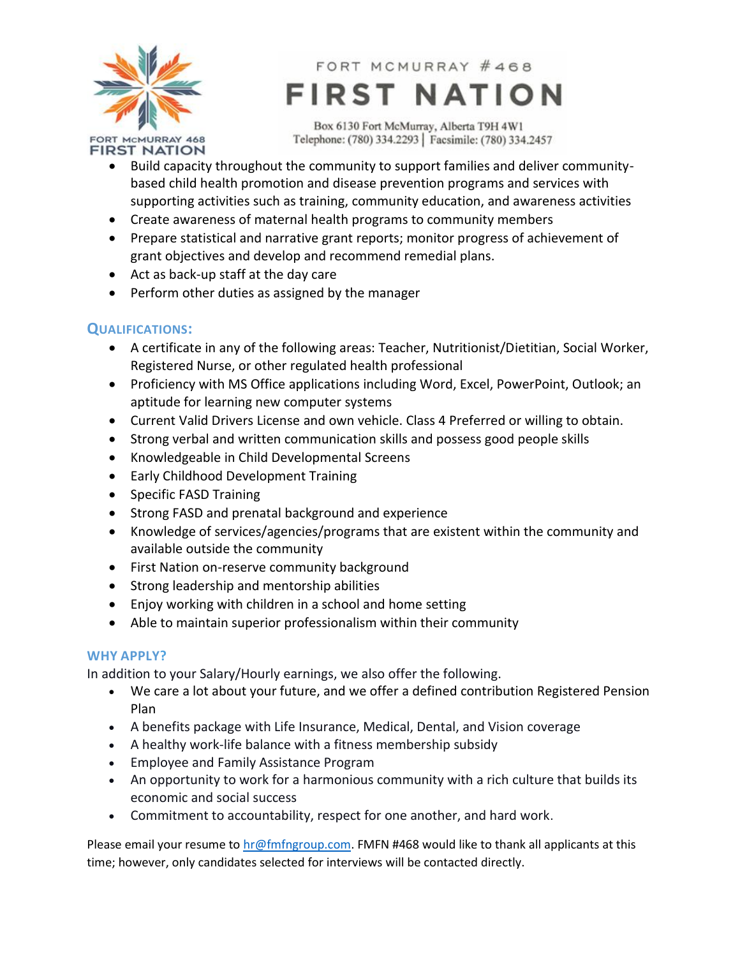

FORT MCMURRAY #468 **FIRST NATION** 

Box 6130 Fort McMurray, Alberta T9H 4W1 Telephone: (780) 334.2293 | Facsimile: (780) 334.2457

- Build capacity throughout the community to support families and deliver communitybased child health promotion and disease prevention programs and services with supporting activities such as training, community education, and awareness activities
- Create awareness of maternal health programs to community members
- Prepare statistical and narrative grant reports; monitor progress of achievement of grant objectives and develop and recommend remedial plans.
- Act as back-up staff at the day care
- Perform other duties as assigned by the manager

# **QUALIFICATIONS:**

- A certificate in any of the following areas: Teacher, Nutritionist/Dietitian, Social Worker, Registered Nurse, or other regulated health professional
- Proficiency with MS Office applications including Word, Excel, PowerPoint, Outlook; an aptitude for learning new computer systems
- Current Valid Drivers License and own vehicle. Class 4 Preferred or willing to obtain.
- Strong verbal and written communication skills and possess good people skills
- Knowledgeable in Child Developmental Screens
- Early Childhood Development Training
- Specific FASD Training
- Strong FASD and prenatal background and experience
- Knowledge of services/agencies/programs that are existent within the community and available outside the community
- First Nation on-reserve community background
- Strong leadership and mentorship abilities
- Enjoy working with children in a school and home setting
- Able to maintain superior professionalism within their community

### **WHY APPLY?**

In addition to your Salary/Hourly earnings, we also offer the following.

- We care a lot about your future, and we offer a defined contribution Registered Pension Plan
- A benefits package with Life Insurance, Medical, Dental, and Vision coverage
- A healthy work-life balance with a fitness membership subsidy
- Employee and Family Assistance Program
- An opportunity to work for a harmonious community with a rich culture that builds its economic and social success
- Commitment to accountability, respect for one another, and hard work.

Please email your resume to  $hr@fmfngroup.com$ . FMFN #468 would like to thank all applicants at this time; however, only candidates selected for interviews will be contacted directly.